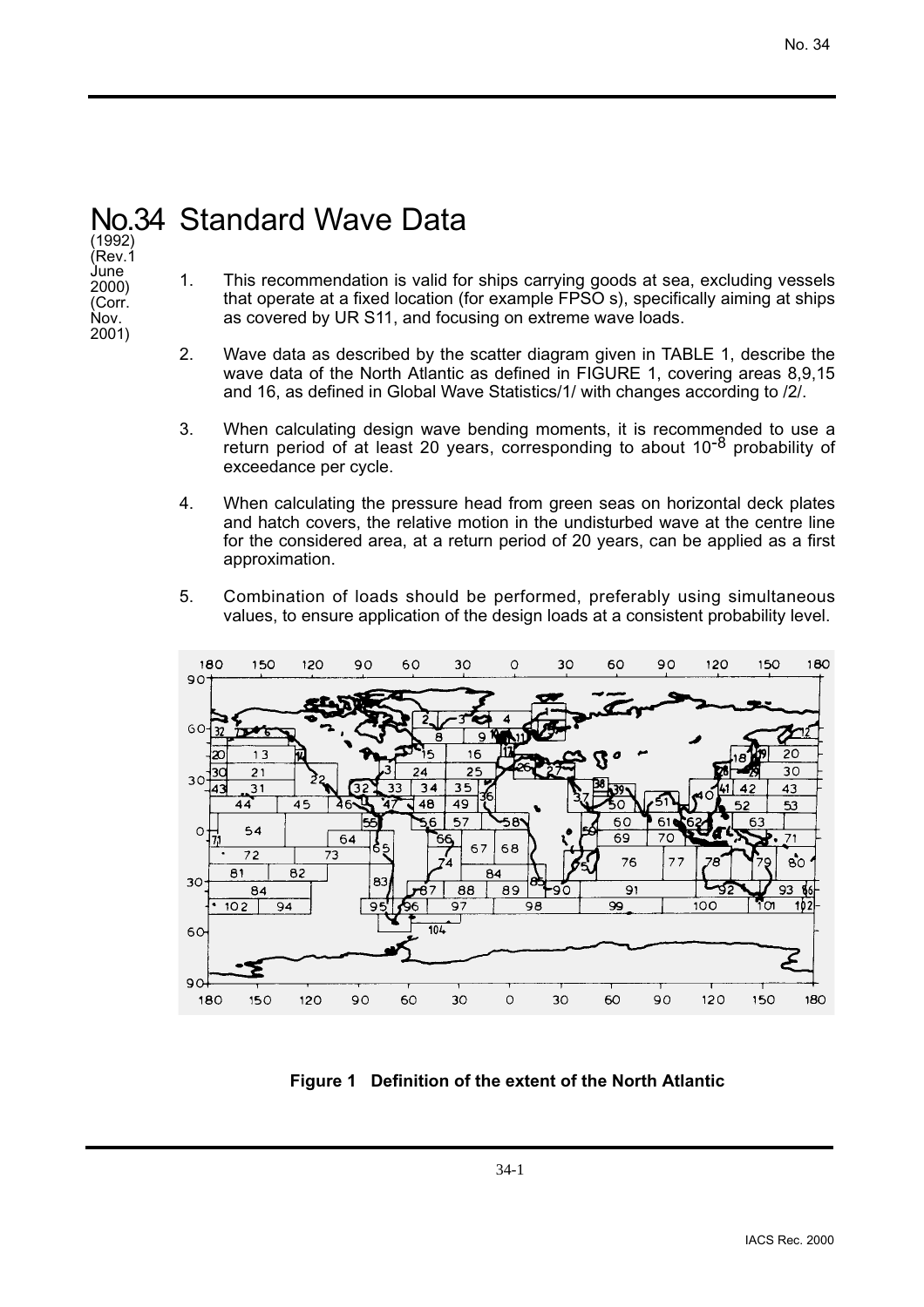## No.34 Standard Wave Data

(1992) (Rev.1 June 2000) (Corr. Nov. 2001)

- 1. This recommendation is valid for ships carrying goods at sea, excluding vessels that operate at a fixed location (for example FPSO s), specifically aiming at ships as covered by UR S11, and focusing on extreme wave loads.
- 2. Wave data as described by the scatter diagram given in TABLE 1, describe the wave data of the North Atlantic as defined in FIGURE 1, covering areas 8,9,15 and 16, as defined in Global Wave Statistics/1/ with changes according to /2/.
- 3. When calculating design wave bending moments, it is recommended to use a return period of at least 20 years, corresponding to about  $10^{-8}$  probability of exceedance per cycle.
- 4. When calculating the pressure head from green seas on horizontal deck plates and hatch covers, the relative motion in the undisturbed wave at the centre line for the considered area, at a return period of 20 years, can be applied as a first approximation.
- 5. Combination of loads should be performed, preferably using simultaneous values, to ensure application of the design loads at a consistent probability level.



**Figure 1 Definition of the extent of the North Atlantic**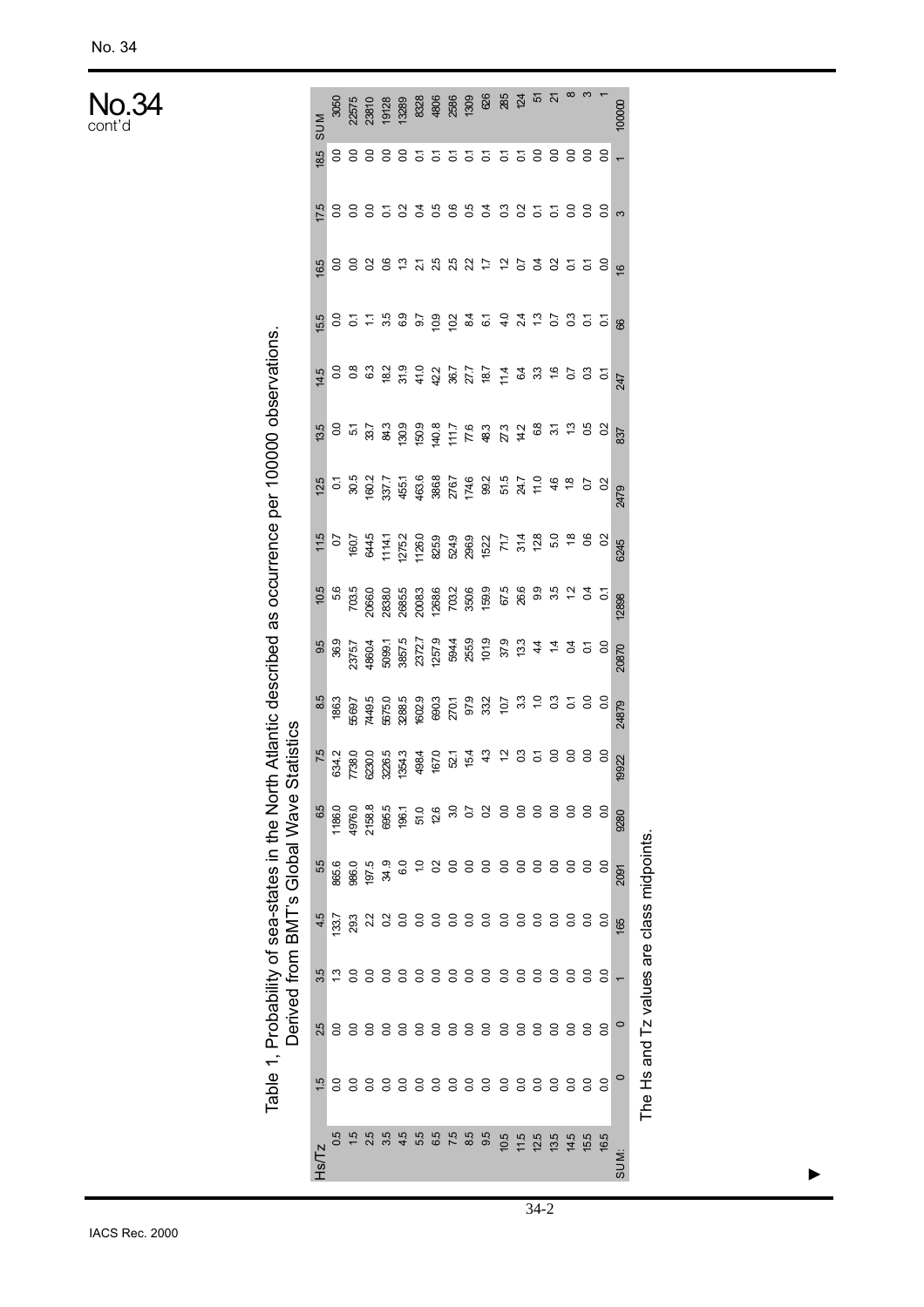No.34 cont'd

|                                                                                            |                                          |         |                    |    |       | Derived from BMT's Global Wave Sta | atistics |       |       |       |      |                                                                                                                                                                                                                                                                       |                                                                                                                                                                                                                                  |     |    |                |                    |                   |                                                                                         |
|--------------------------------------------------------------------------------------------|------------------------------------------|---------|--------------------|----|-------|------------------------------------|----------|-------|-------|-------|------|-----------------------------------------------------------------------------------------------------------------------------------------------------------------------------------------------------------------------------------------------------------------------|----------------------------------------------------------------------------------------------------------------------------------------------------------------------------------------------------------------------------------|-----|----|----------------|--------------------|-------------------|-----------------------------------------------------------------------------------------|
| $-2181$                                                                                    |                                          |         |                    |    | 55    | 6.5                                |          |       |       |       |      |                                                                                                                                                                                                                                                                       |                                                                                                                                                                                                                                  |     |    |                |                    | 18.5              | <b>MUS</b>                                                                              |
|                                                                                            |                                          |         |                    |    | 865.6 | 1186.0                             |          |       |       |       |      |                                                                                                                                                                                                                                                                       |                                                                                                                                                                                                                                  |     |    |                |                    |                   | 3050                                                                                    |
|                                                                                            |                                          |         |                    |    | 986.0 |                                    |          |       |       |       |      |                                                                                                                                                                                                                                                                       |                                                                                                                                                                                                                                  |     |    |                |                    |                   |                                                                                         |
|                                                                                            |                                          |         |                    |    | 197.5 | 4976.0<br>2158.8                   |          |       |       |       |      |                                                                                                                                                                                                                                                                       |                                                                                                                                                                                                                                  |     |    |                |                    |                   |                                                                                         |
|                                                                                            |                                          |         |                    |    | 34.9  | 695.5<br>196.1                     |          |       |       |       |      |                                                                                                                                                                                                                                                                       |                                                                                                                                                                                                                                  |     |    |                |                    |                   |                                                                                         |
| 4.5                                                                                        |                                          |         |                    |    |       |                                    |          |       |       |       |      |                                                                                                                                                                                                                                                                       |                                                                                                                                                                                                                                  |     |    |                |                    |                   |                                                                                         |
|                                                                                            |                                          |         |                    |    |       |                                    |          |       |       |       |      |                                                                                                                                                                                                                                                                       |                                                                                                                                                                                                                                  |     |    |                |                    |                   |                                                                                         |
|                                                                                            |                                          |         |                    |    |       |                                    |          |       |       |       |      |                                                                                                                                                                                                                                                                       |                                                                                                                                                                                                                                  |     |    |                |                    |                   |                                                                                         |
|                                                                                            |                                          |         |                    |    |       |                                    |          |       |       |       |      |                                                                                                                                                                                                                                                                       |                                                                                                                                                                                                                                  |     |    |                |                    |                   |                                                                                         |
| 5<br>6<br>6<br>6<br>7<br>6<br>7<br>8<br>9<br>9<br>2<br>9<br>2<br>2<br>2<br>2<br>2<br>2<br> |                                          |         |                    |    |       |                                    |          |       |       |       |      |                                                                                                                                                                                                                                                                       |                                                                                                                                                                                                                                  |     |    |                |                    |                   |                                                                                         |
|                                                                                            |                                          |         |                    |    |       |                                    |          |       |       |       |      |                                                                                                                                                                                                                                                                       |                                                                                                                                                                                                                                  |     |    |                |                    |                   |                                                                                         |
| 10.5                                                                                       | 488888888888888                          |         | ***888888888888888 |    |       |                                    |          |       |       |       |      | $\begin{array}{l} 20.75 & 20.75 & 20.75 & 20.75 & 20.75 & 20.75 & 20.75 & 20.75 & 20.75 & 20.75 & 20.75 & 20.75 & 20.75 & 20.75 & 20.75 & 20.75 & 20.75 & 20.75 & 20.75 & 20.75 & 20.75 & 20.75 & 20.75 & 20.75 & 20.75 & 20.75 & 20.75 & 20.75 & 20.75 & 20.75 & 20$ | es compartients de la marca de la marca de la marca de la marca de la marca de la marca de la marca de la marc<br>Referències de la marca de la marca de la marca de la marca de la marca de la marca de la marca de la marca de |     |    |                | 588858388838855888 | 88888555555588888 | ភ្លុ <sub>ះ</sub><br>ស្តុំ និង និង និង និង និង និង និង<br>ស្តុំ និង និង និង និង និង និង |
| $11.5$<br>$12.5$<br>$13.5$                                                                 |                                          |         |                    |    |       |                                    |          |       |       |       |      |                                                                                                                                                                                                                                                                       |                                                                                                                                                                                                                                  |     |    |                |                    |                   |                                                                                         |
|                                                                                            |                                          |         |                    |    |       |                                    |          |       |       |       |      |                                                                                                                                                                                                                                                                       |                                                                                                                                                                                                                                  |     |    |                |                    |                   | $\overline{5}$                                                                          |
|                                                                                            |                                          |         |                    |    |       |                                    |          |       |       |       |      |                                                                                                                                                                                                                                                                       |                                                                                                                                                                                                                                  |     |    |                |                    |                   | $\overline{\mathcal{S}}$                                                                |
| $14.5$<br>$15.5$                                                                           | 8<br>8<br>9                              |         |                    |    |       |                                    |          |       |       |       |      |                                                                                                                                                                                                                                                                       |                                                                                                                                                                                                                                  |     |    |                |                    |                   |                                                                                         |
|                                                                                            |                                          |         |                    |    |       |                                    |          |       |       |       |      |                                                                                                                                                                                                                                                                       |                                                                                                                                                                                                                                  |     |    |                |                    |                   |                                                                                         |
| 16.5                                                                                       | S                                        | S0      | So                 |    |       |                                    |          |       |       |       |      |                                                                                                                                                                                                                                                                       |                                                                                                                                                                                                                                  |     |    |                |                    |                   |                                                                                         |
| <b>SUM:</b>                                                                                | $\circ$                                  | $\circ$ |                    | 65 | 2091  | 9280                               | 19922    | 24879 | 20870 | 12898 | 6245 | 2479                                                                                                                                                                                                                                                                  | <b>537</b>                                                                                                                                                                                                                       | 247 | 88 | $\overline{6}$ | ന                  |                   | 100000                                                                                  |
|                                                                                            | The Hs and Tz values are class midpoints |         |                    |    |       |                                    |          |       |       |       |      |                                                                                                                                                                                                                                                                       |                                                                                                                                                                                                                                  |     |    |                |                    |                   |                                                                                         |

Table 1, Probability of sea-states in the North Atlantic described as occurrence per 100000 observations.

Table 1, Probability of sea-states in the North Atlantic described as occurrence per 100000 observations.

▲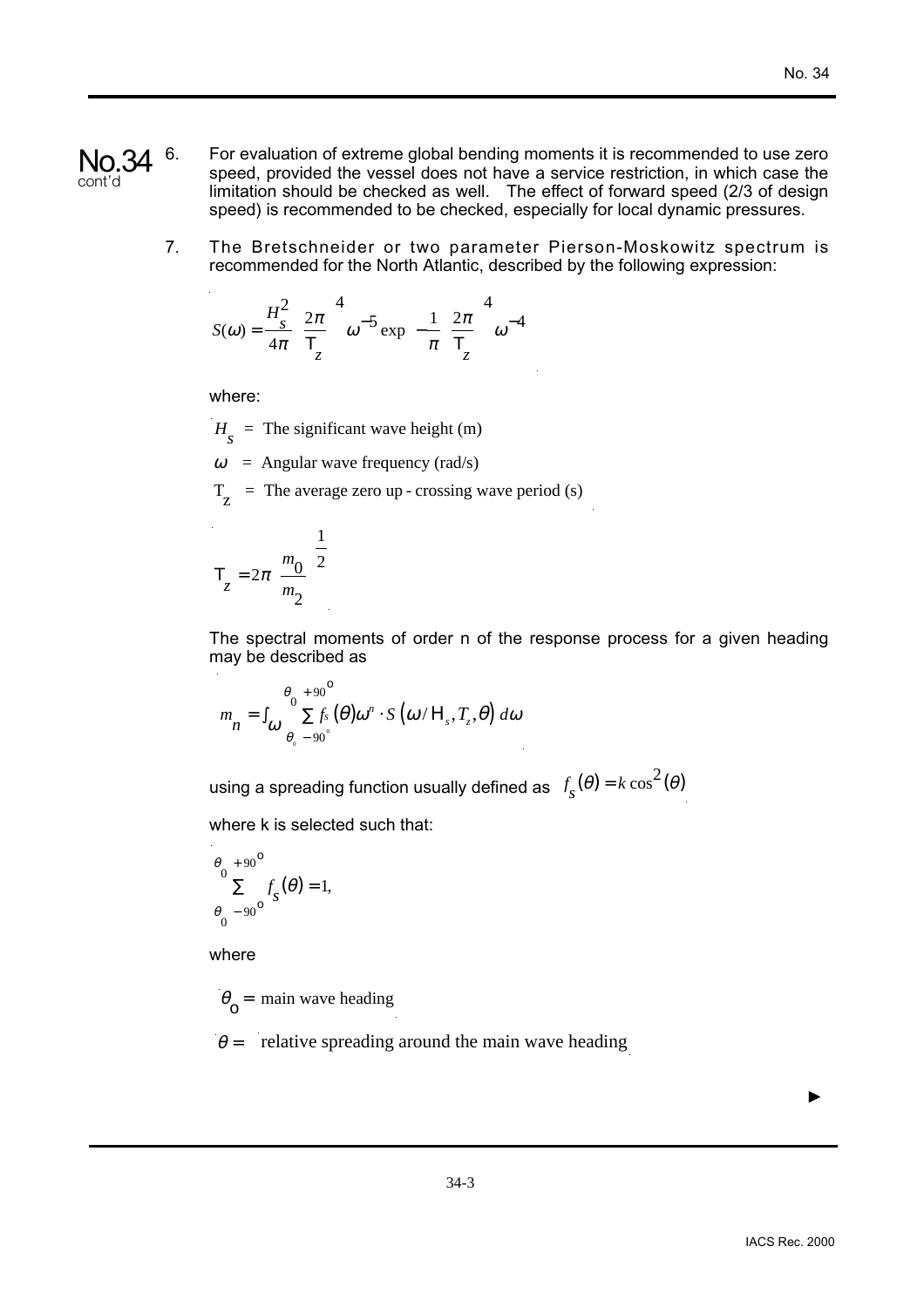- 6. For evaluation of extreme global bending moments it is recommended to use zero speed, provided the vessel does not have a service restriction, in which case the limitation should be checked as well. The effect of forward speed (2/3 of design speed) is recommended to be checked, especially for local dynamic pressures. No.34 cont'd
	- 7. The Bretschneider or two parameter Pierson-Moskowitz spectrum is recommended for the North Atlantic, described by the following expression:

$$
S(\omega) = \frac{H_s^2}{4\pi} \left(\frac{2\pi}{T_z}\right)^4 \omega^{-5} \exp\left(-\frac{1}{\pi} \left(\frac{2\pi}{T_z}\right)^4 \omega^{-4}\right)
$$

where:

 $H<sub>s</sub>$  = The significant wave height (m)

- $\omega$  = Angular wave frequency (rad/s)
- $T<sub>z</sub>$  = The average zero up crossing wave period (s)

$$
T_z = 2\pi \left(\frac{m_0}{m_2}\right)^{\frac{1}{2}}
$$

The spectral moments of order n of the response process for a given heading may be described as

$$
m_{n} = \int_{\omega}^{\theta_{0} + 90^{\circ}} \sum f_{s}(\theta) \omega^{n} \cdot S(\omega / H_{s}, T_{z}, \theta) d\omega
$$

using a spreading function usually defined as  $f_{\stackrel{}{S}}(\theta)$  =  $k\cos^2(\theta)$ 

where **k** is selected such that:

$$
\frac{\theta_0 + 90^{\circ}}{\sum} f_{\mathcal{S}}(\theta) = 1,
$$
  

$$
\frac{\theta_0 - 90^{\circ}}{\sum} f_{\mathcal{S}}(\theta) = 1,
$$

where

 $\theta_{\circ}$  = main wave heading

 $\theta$  = relative spreading around the main wave heading

▲